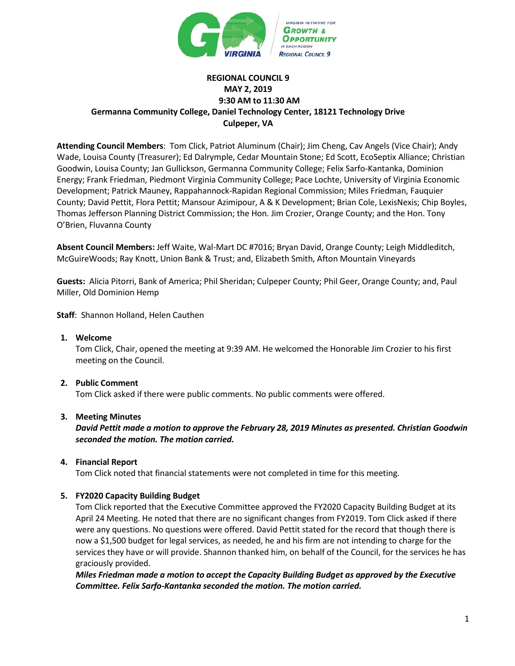

# **REGIONAL COUNCIL 9 MAY 2, 2019 9:30 AM to 11:30 AM Germanna Community College, Daniel Technology Center, 18121 Technology Drive Culpeper, VA**

**Attending Council Members**: Tom Click, Patriot Aluminum (Chair); Jim Cheng, Cav Angels (Vice Chair); Andy Wade, Louisa County (Treasurer); Ed Dalrymple, Cedar Mountain Stone; Ed Scott, EcoSeptix Alliance; Christian Goodwin, Louisa County; Jan Gullickson, Germanna Community College; Felix Sarfo-Kantanka, Dominion Energy; Frank Friedman, Piedmont Virginia Community College; Pace Lochte, University of Virginia Economic Development; Patrick Mauney, Rappahannock-Rapidan Regional Commission; Miles Friedman, Fauquier County; David Pettit, Flora Pettit; Mansour Azimipour, A & K Development; Brian Cole, LexisNexis; Chip Boyles, Thomas Jefferson Planning District Commission; the Hon. Jim Crozier, Orange County; and the Hon. Tony O'Brien, Fluvanna County

**Absent Council Members:** Jeff Waite, Wal-Mart DC #7016; Bryan David, Orange County; Leigh Middleditch, McGuireWoods; Ray Knott, Union Bank & Trust; and, Elizabeth Smith, Afton Mountain Vineyards

**Guests:** Alicia Pitorri, Bank of America; Phil Sheridan; Culpeper County; Phil Geer, Orange County; and, Paul Miller, Old Dominion Hemp

**Staff**: Shannon Holland, Helen Cauthen

**1. Welcome**

Tom Click, Chair, opened the meeting at 9:39 AM. He welcomed the Honorable Jim Crozier to his first meeting on the Council.

### **2. Public Comment**

Tom Click asked if there were public comments. No public comments were offered.

### **3. Meeting Minutes**

*David Pettit made a motion to approve the February 28, 2019 Minutes as presented. Christian Goodwin seconded the motion. The motion carried.*

### **4. Financial Report**

Tom Click noted that financial statements were not completed in time for this meeting.

### **5. FY2020 Capacity Building Budget**

Tom Click reported that the Executive Committee approved the FY2020 Capacity Building Budget at its April 24 Meeting. He noted that there are no significant changes from FY2019. Tom Click asked if there were any questions. No questions were offered. David Pettit stated for the record that though there is now a \$1,500 budget for legal services, as needed, he and his firm are not intending to charge for the services they have or will provide. Shannon thanked him, on behalf of the Council, for the services he has graciously provided.

*Miles Friedman made a motion to accept the Capacity Building Budget as approved by the Executive Committee. Felix Sarfo-Kantanka seconded the motion. The motion carried.*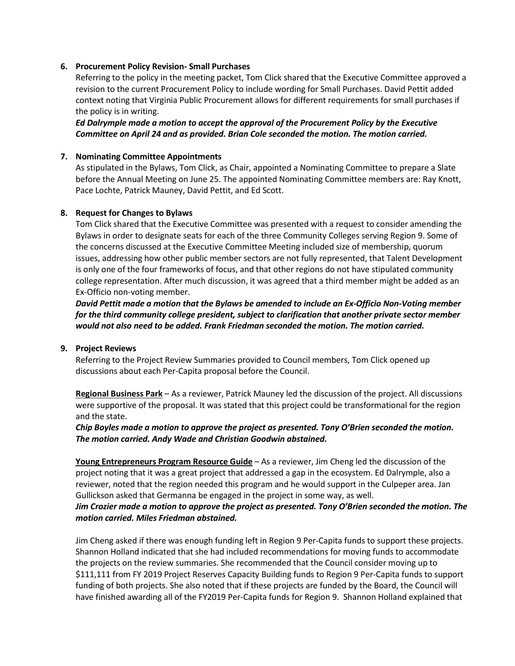### **6. Procurement Policy Revision- Small Purchases**

Referring to the policy in the meeting packet, Tom Click shared that the Executive Committee approved a revision to the current Procurement Policy to include wording for Small Purchases. David Pettit added context noting that Virginia Public Procurement allows for different requirements for small purchases if the policy is in writing.

*Ed Dalrymple made a motion to accept the approval of the Procurement Policy by the Executive Committee on April 24 and as provided. Brian Cole seconded the motion. The motion carried.* 

#### **7. Nominating Committee Appointments**

As stipulated in the Bylaws, Tom Click, as Chair, appointed a Nominating Committee to prepare a Slate before the Annual Meeting on June 25. The appointed Nominating Committee members are: Ray Knott, Pace Lochte, Patrick Mauney, David Pettit, and Ed Scott.

### **8. Request for Changes to Bylaws**

Tom Click shared that the Executive Committee was presented with a request to consider amending the Bylaws in order to designate seats for each of the three Community Colleges serving Region 9. Some of the concerns discussed at the Executive Committee Meeting included size of membership, quorum issues, addressing how other public member sectors are not fully represented, that Talent Development is only one of the four frameworks of focus, and that other regions do not have stipulated community college representation. After much discussion, it was agreed that a third member might be added as an Ex-Officio non-voting member.

*David Pettit made a motion that the Bylaws be amended to include an Ex-Officio Non-Voting member for the third community college president, subject to clarification that another private sector member would not also need to be added. Frank Friedman seconded the motion. The motion carried.* 

#### **9. Project Reviews**

Referring to the Project Review Summaries provided to Council members, Tom Click opened up discussions about each Per-Capita proposal before the Council.

**Regional Business Park** – As a reviewer, Patrick Mauney led the discussion of the project. All discussions were supportive of the proposal. It was stated that this project could be transformational for the region and the state.

*Chip Boyles made a motion to approve the project as presented. Tony O'Brien seconded the motion. The motion carried. Andy Wade and Christian Goodwin abstained.* 

**Young Entrepreneurs Program Resource Guide** – As a reviewer, Jim Cheng led the discussion of the project noting that it was a great project that addressed a gap in the ecosystem. Ed Dalrymple, also a reviewer, noted that the region needed this program and he would support in the Culpeper area. Jan Gullickson asked that Germanna be engaged in the project in some way, as well.

## *Jim Crozier made a motion to approve the project as presented. Tony O'Brien seconded the motion. The motion carried. Miles Friedman abstained.*

Jim Cheng asked if there was enough funding left in Region 9 Per-Capita funds to support these projects. Shannon Holland indicated that she had included recommendations for moving funds to accommodate the projects on the review summaries. She recommended that the Council consider moving up to \$111,111 from FY 2019 Project Reserves Capacity Building funds to Region 9 Per-Capita funds to support funding of both projects. She also noted that if these projects are funded by the Board, the Council will have finished awarding all of the FY2019 Per-Capita funds for Region 9. Shannon Holland explained that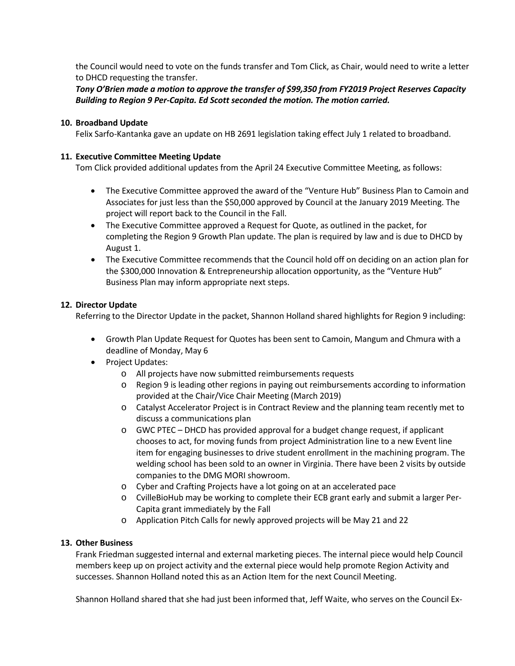the Council would need to vote on the funds transfer and Tom Click, as Chair, would need to write a letter to DHCD requesting the transfer.

*Tony O'Brien made a motion to approve the transfer of \$99,350 from FY2019 Project Reserves Capacity Building to Region 9 Per-Capita. Ed Scott seconded the motion. The motion carried.* 

### **10. Broadband Update**

Felix Sarfo-Kantanka gave an update on HB 2691 legislation taking effect July 1 related to broadband.

## **11. Executive Committee Meeting Update**

Tom Click provided additional updates from the April 24 Executive Committee Meeting, as follows:

- The Executive Committee approved the award of the "Venture Hub" Business Plan to Camoin and Associates for just less than the \$50,000 approved by Council at the January 2019 Meeting. The project will report back to the Council in the Fall.
- The Executive Committee approved a Request for Quote, as outlined in the packet, for completing the Region 9 Growth Plan update. The plan is required by law and is due to DHCD by August 1.
- The Executive Committee recommends that the Council hold off on deciding on an action plan for the \$300,000 Innovation & Entrepreneurship allocation opportunity, as the "Venture Hub" Business Plan may inform appropriate next steps.

### **12. Director Update**

Referring to the Director Update in the packet, Shannon Holland shared highlights for Region 9 including:

- Growth Plan Update Request for Quotes has been sent to Camoin, Mangum and Chmura with a deadline of Monday, May 6
- Project Updates:
	- o All projects have now submitted reimbursements requests
	- o Region 9 is leading other regions in paying out reimbursements according to information provided at the Chair/Vice Chair Meeting (March 2019)
	- o Catalyst Accelerator Project is in Contract Review and the planning team recently met to discuss a communications plan
	- o GWC PTEC DHCD has provided approval for a budget change request, if applicant chooses to act, for moving funds from project Administration line to a new Event line item for engaging businesses to drive student enrollment in the machining program. The welding school has been sold to an owner in Virginia. There have been 2 visits by outside companies to the DMG MORI showroom.
	- o Cyber and Crafting Projects have a lot going on at an accelerated pace
	- o CvilleBioHub may be working to complete their ECB grant early and submit a larger Per-Capita grant immediately by the Fall
	- o Application Pitch Calls for newly approved projects will be May 21 and 22

### **13. Other Business**

Frank Friedman suggested internal and external marketing pieces. The internal piece would help Council members keep up on project activity and the external piece would help promote Region Activity and successes. Shannon Holland noted this as an Action Item for the next Council Meeting.

Shannon Holland shared that she had just been informed that, Jeff Waite, who serves on the Council Ex-